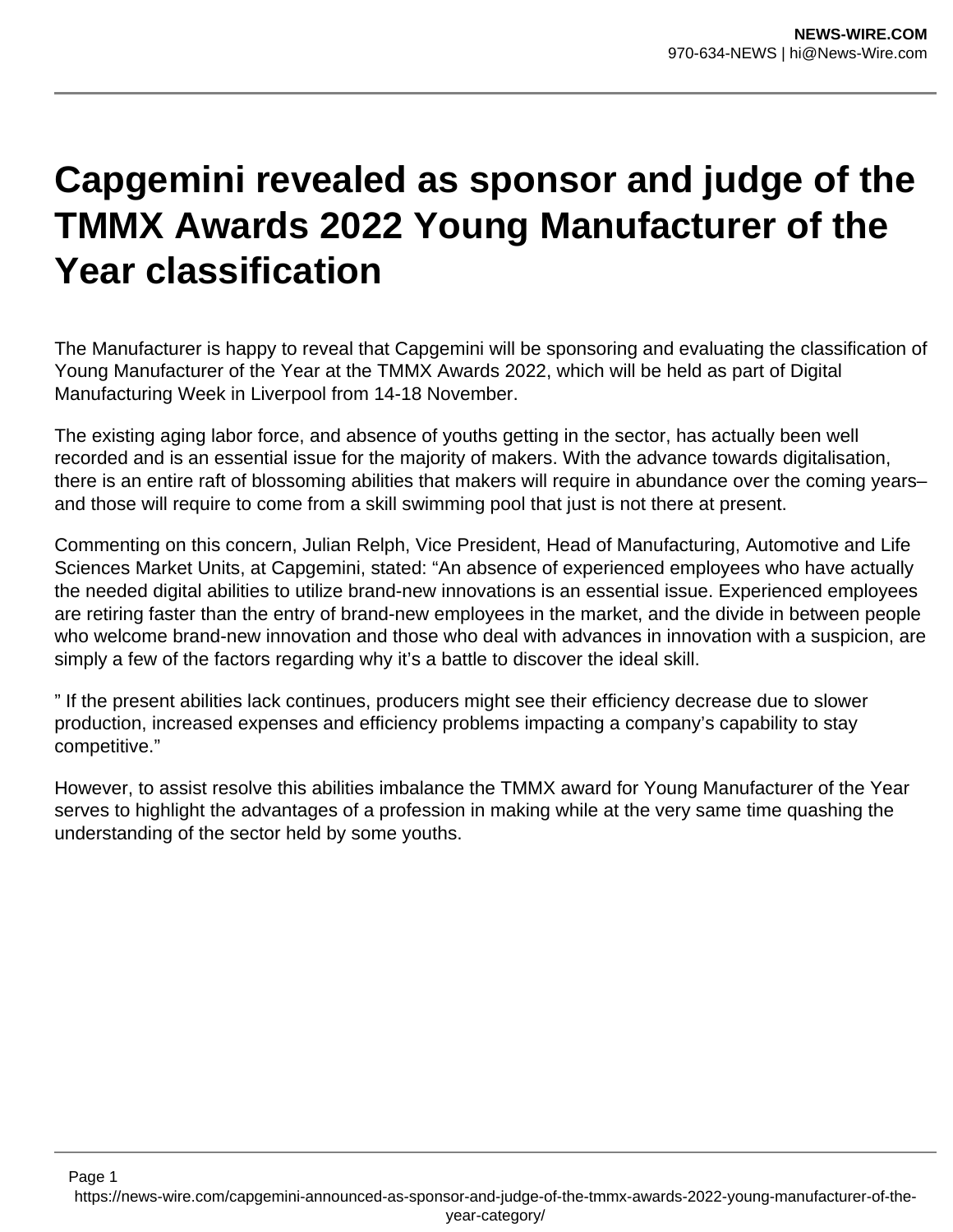## **Capgemini revealed as sponsor and judge of the TMMX Awards 2022 Young Manufacturer of the Year classification**

The Manufacturer is happy to reveal that Capgemini will be sponsoring and evaluating the classification of Young Manufacturer of the Year at the TMMX Awards 2022, which will be held as part of Digital Manufacturing Week in Liverpool from 14-18 November.

The existing aging labor force, and absence of youths getting in the sector, has actually been well recorded and is an essential issue for the majority of makers. With the advance towards digitalisation, there is an entire raft of blossoming abilities that makers will require in abundance over the coming years– and those will require to come from a skill swimming pool that just is not there at present.

Commenting on this concern, Julian Relph, Vice President, Head of Manufacturing, Automotive and Life Sciences Market Units, at Capgemini, stated: "An absence of experienced employees who have actually the needed digital abilities to utilize brand-new innovations is an essential issue. Experienced employees are retiring faster than the entry of brand-new employees in the market, and the divide in between people who welcome brand-new innovation and those who deal with advances in innovation with a suspicion, are simply a few of the factors regarding why it's a battle to discover the ideal skill.

" If the present abilities lack continues, producers might see their efficiency decrease due to slower production, increased expenses and efficiency problems impacting a company's capability to stay competitive."

However, to assist resolve this abilities imbalance the TMMX award for Young Manufacturer of the Year serves to highlight the advantages of a profession in making while at the very same time quashing the understanding of the sector held by some youths.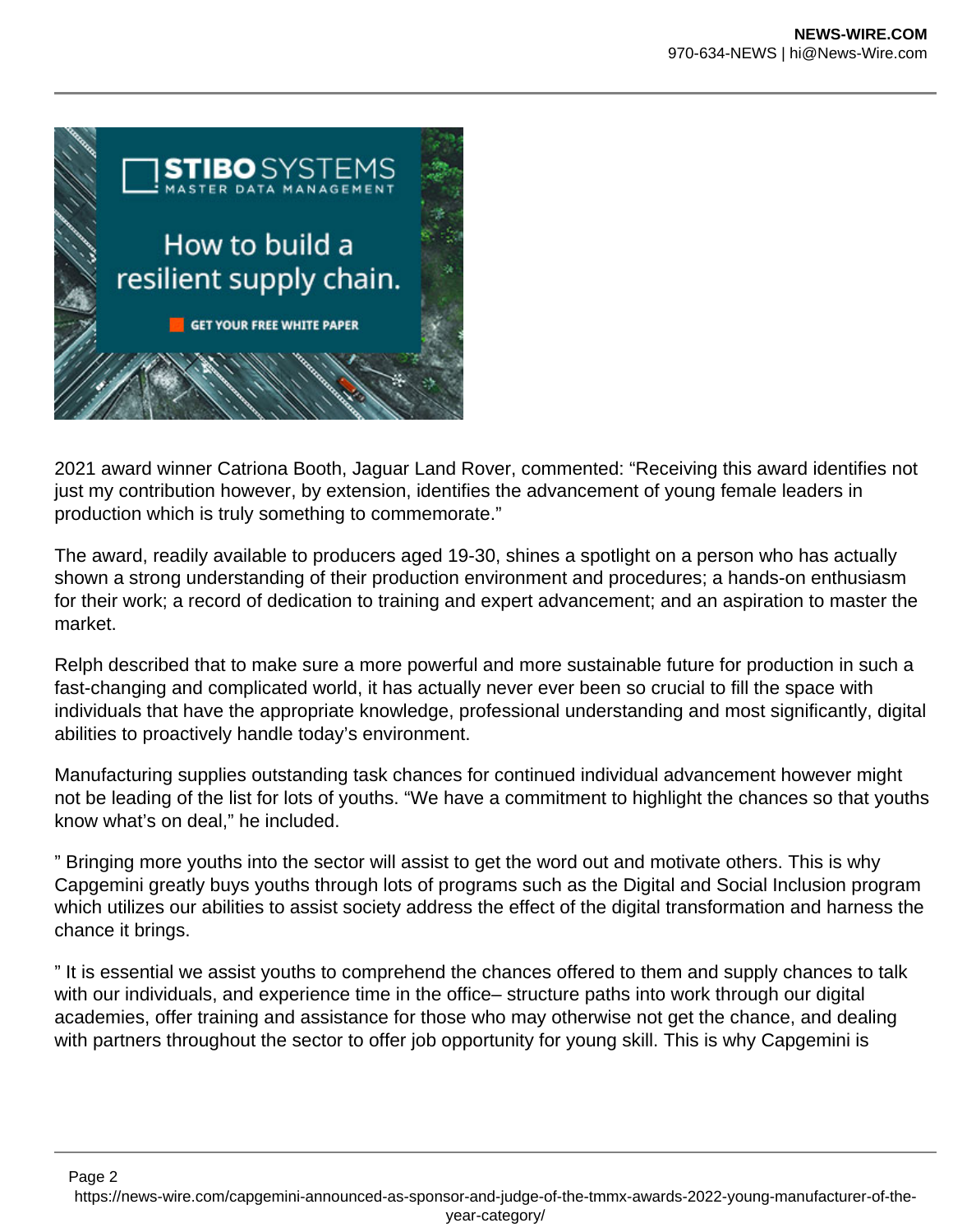

2021 award winner Catriona Booth, Jaguar Land Rover, commented: "Receiving this award identifies not just my contribution however, by extension, identifies the advancement of young female leaders in production which is truly something to commemorate."

The award, readily available to producers aged 19-30, shines a spotlight on a person who has actually shown a strong understanding of their production environment and procedures; a hands-on enthusiasm for their work; a record of dedication to training and expert advancement; and an aspiration to master the market.

Relph described that to make sure a more powerful and more sustainable future for production in such a fast-changing and complicated world, it has actually never ever been so crucial to fill the space with individuals that have the appropriate knowledge, professional understanding and most significantly, digital abilities to proactively handle today's environment.

Manufacturing supplies outstanding task chances for continued individual advancement however might not be leading of the list for lots of youths. "We have a commitment to highlight the chances so that youths know what's on deal," he included.

" Bringing more youths into the sector will assist to get the word out and motivate others. This is why Capgemini greatly buys youths through lots of programs such as the Digital and Social Inclusion program which utilizes our abilities to assist society address the effect of the digital transformation and harness the chance it brings.

" It is essential we assist youths to comprehend the chances offered to them and supply chances to talk with our individuals, and experience time in the office– structure paths into work through our digital academies, offer training and assistance for those who may otherwise not get the chance, and dealing with partners throughout the sector to offer job opportunity for young skill. This is why Capgemini is

Page 2 https://news-wire.com/capgemini-announced-as-sponsor-and-judge-of-the-tmmx-awards-2022-young-manufacturer-of-theyear-category/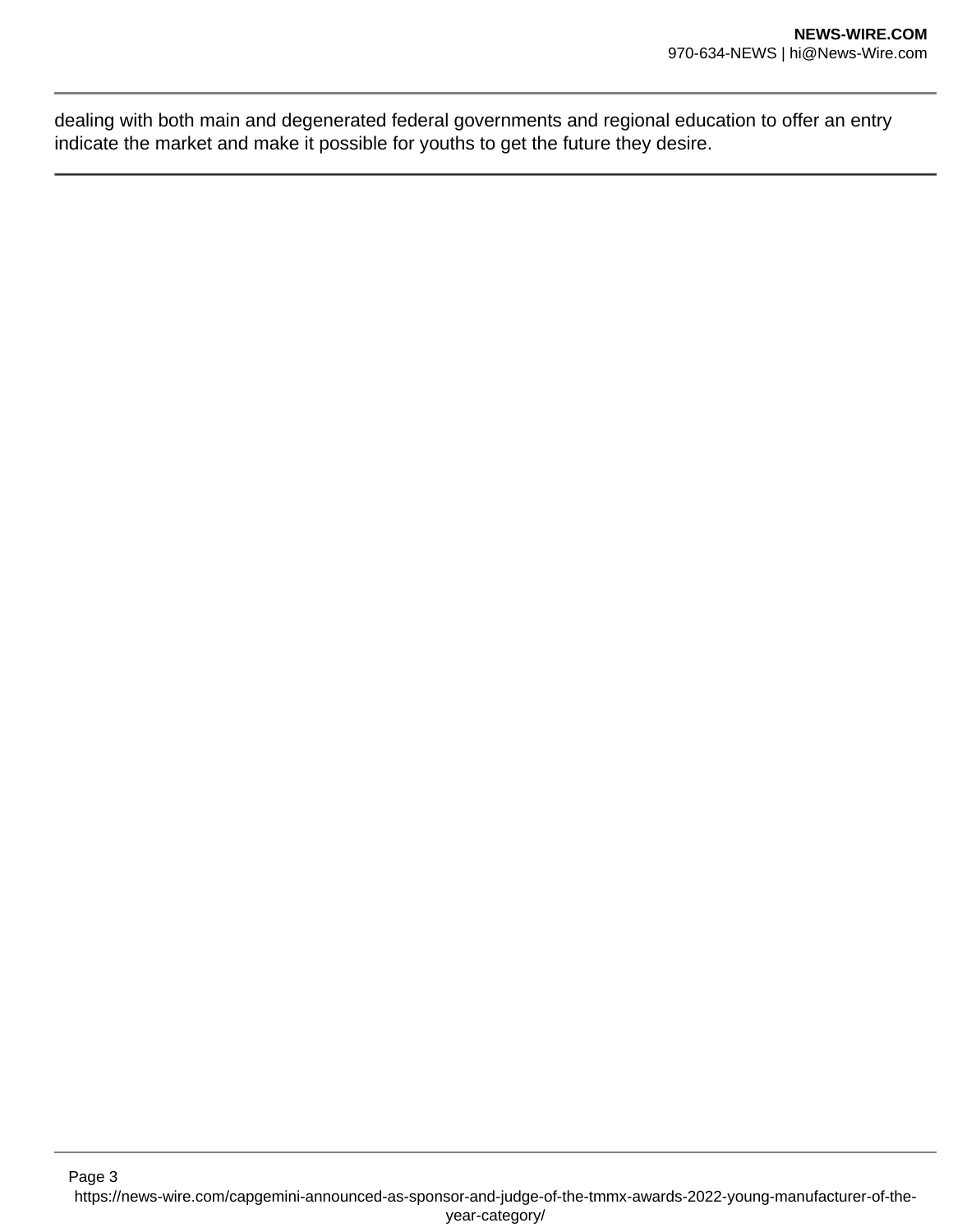dealing with both main and degenerated federal governments and regional education to offer an entry indicate the market and make it possible for youths to get the future they desire.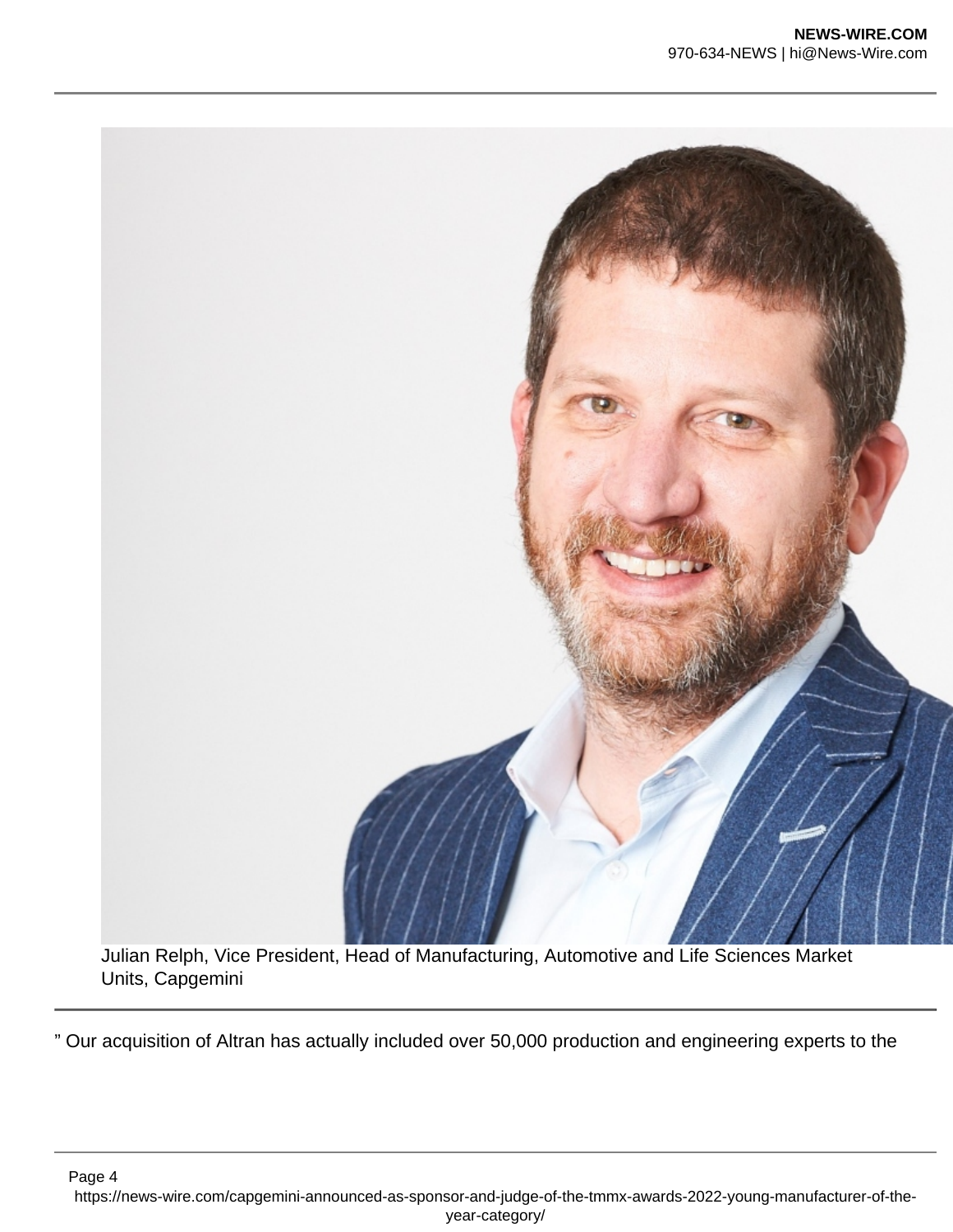

Julian Relph, Vice President, Head of Manufacturing, Automotive and Life Sciences Market Units, Capgemini

" Our acquisition of Altran has actually included over 50,000 production and engineering experts to the